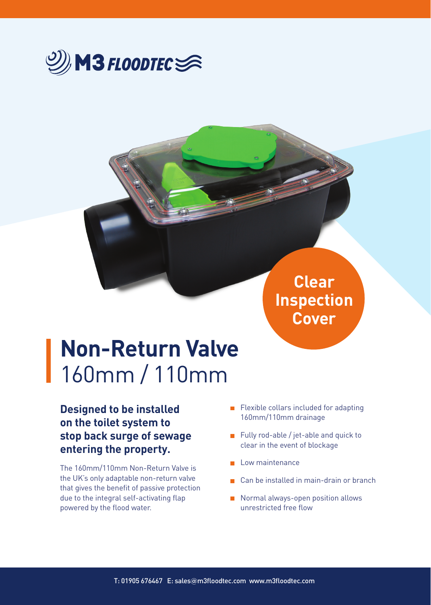

**Clear Inspection Cover**

## **Non-Return Valve** 160mm / 110mm

**Designed to be installed on the toilet system to stop back surge of sewage entering the property.** 

The 160mm/110mm Non-Return Valve is the UK's only adaptable non-return valve that gives the benefit of passive protection due to the integral self-activating flap powered by the flood water.

- Flexible collars included for adapting 160mm/110mm drainage
- Fully rod-able / jet-able and quick to clear in the event of blockage
- **Low maintenance**
- Can be installed in main-drain or branch  $\mathcal{L}_{\mathcal{A}}$
- Normal always-open position allows unrestricted free flow